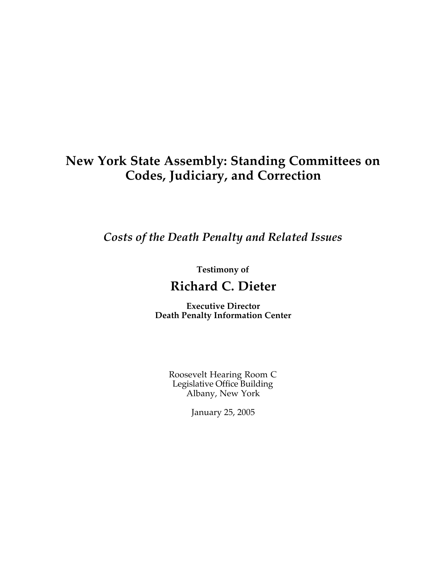# **New York State Assembly: Standing Committees on Codes, Judiciary, and Correction**

*Costs of the Death Penalty and Related Issues*

**Testimony of**

## **Richard C. Dieter**

**Executive Director Death Penalty Information Center**

> Roosevelt Hearing Room C Legislative Office Building Albany, New York

> > January 25, 2005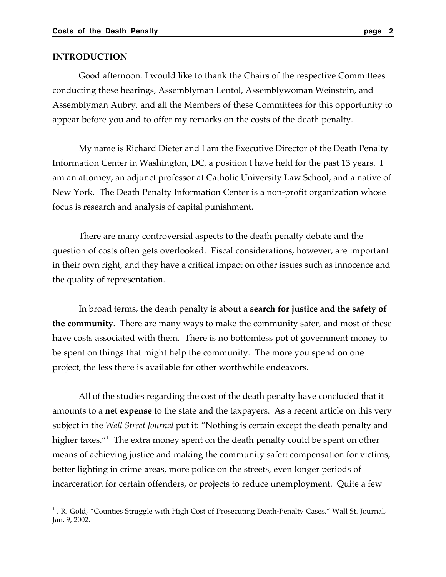## **INTRODUCTION**

Good afternoon. I would like to thank the Chairs of the respective Committees conducting these hearings, Assemblyman Lentol, Assemblywoman Weinstein, and Assemblyman Aubry, and all the Members of these Committees for this opportunity to appear before you and to offer my remarks on the costs of the death penalty.

My name is Richard Dieter and I am the Executive Director of the Death Penalty Information Center in Washington, DC, a position I have held for the past 13 years. I am an attorney, an adjunct professor at Catholic University Law School, and a native of New York. The Death Penalty Information Center is a non-profit organization whose focus is research and analysis of capital punishment.

There are many controversial aspects to the death penalty debate and the question of costs often gets overlooked. Fiscal considerations, however, are important in their own right, and they have a critical impact on other issues such as innocence and the quality of representation.

In broad terms, the death penalty is about a **search for justice and the safety of the community**. There are many ways to make the community safer, and most of these have costs associated with them. There is no bottomless pot of government money to be spent on things that might help the community. The more you spend on one project, the less there is available for other worthwhile endeavors.

All of the studies regarding the cost of the death penalty have concluded that it amounts to a **net expense** to the state and the taxpayers. As a recent article on this very subject in the *Wall Street Journal* put it: "Nothing is certain except the death penalty and higher taxes."<sup>1</sup> The extra money spent on the death penalty could be spent on other means of achieving justice and making the community safer: compensation for victims, better lighting in crime areas, more police on the streets, even longer periods of incarceration for certain offenders, or projects to reduce unemployment. Quite a few

 $\overline{a}$ <sup>1</sup>. R. Gold, "Counties Struggle with High Cost of Prosecuting Death-Penalty Cases," Wall St. Journal, Jan. 9, 2002.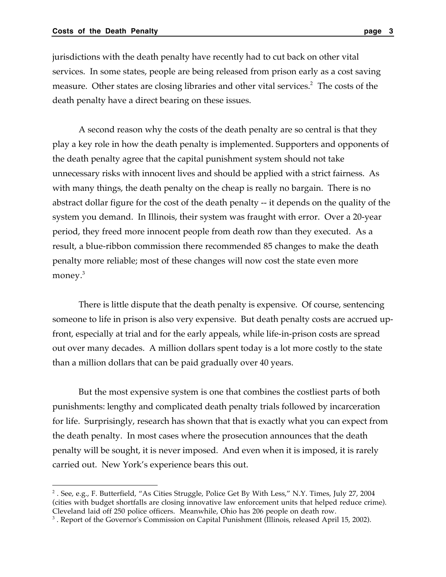$\overline{a}$ 

jurisdictions with the death penalty have recently had to cut back on other vital services. In some states, people are being released from prison early as a cost saving measure. Other states are closing libraries and other vital services. $^2$  The costs of the death penalty have a direct bearing on these issues.

A second reason why the costs of the death penalty are so central is that they play a key role in how the death penalty is implemented. Supporters and opponents of the death penalty agree that the capital punishment system should not take unnecessary risks with innocent lives and should be applied with a strict fairness. As with many things, the death penalty on the cheap is really no bargain. There is no abstract dollar figure for the cost of the death penalty -- it depends on the quality of the system you demand. In Illinois, their system was fraught with error. Over a 20-year period, they freed more innocent people from death row than they executed. As a result, a blue-ribbon commission there recommended 85 changes to make the death penalty more reliable; most of these changes will now cost the state even more money.<sup>3</sup>

There is little dispute that the death penalty is expensive. Of course, sentencing someone to life in prison is also very expensive. But death penalty costs are accrued upfront, especially at trial and for the early appeals, while life-in-prison costs are spread out over many decades. A million dollars spent today is a lot more costly to the state than a million dollars that can be paid gradually over 40 years.

But the most expensive system is one that combines the costliest parts of both punishments: lengthy and complicated death penalty trials followed by incarceration for life. Surprisingly, research has shown that that is exactly what you can expect from the death penalty. In most cases where the prosecution announces that the death penalty will be sought, it is never imposed. And even when it is imposed, it is rarely carried out. New York's experience bears this out.

<sup>2</sup> . See, e.g., F. Butterfield, "As Cities Struggle, Police Get By With Less," N.Y. Times, July 27, 2004 (cities with budget shortfalls are closing innovative law enforcement units that helped reduce crime). Cleveland laid off 250 police officers. Meanwhile, Ohio has 206 people on death row.

<sup>3</sup> . Report of the Governor's Commission on Capital Punishment (Illinois, released April 15, 2002).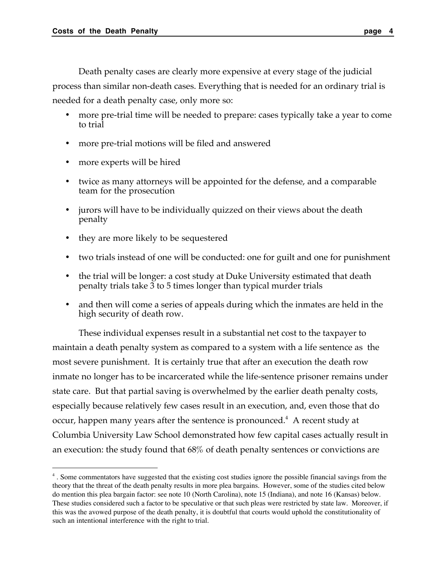Death penalty cases are clearly more expensive at every stage of the judicial

process than similar non-death cases. Everything that is needed for an ordinary trial is needed for a death penalty case, only more so:

- more pre-trial time will be needed to prepare: cases typically take a year to come to trial
- more pre-trial motions will be filed and answered
- more experts will be hired

 $\overline{a}$ 

- twice as many attorneys will be appointed for the defense, and a comparable team for the prosecution
- jurors will have to be individually quizzed on their views about the death penalty
- they are more likely to be sequestered
- two trials instead of one will be conducted: one for guilt and one for punishment
- the trial will be longer: a cost study at Duke University estimated that death penalty trials take 3 to 5 times longer than typical murder trials
- and then will come a series of appeals during which the inmates are held in the high security of death row.

These individual expenses result in a substantial net cost to the taxpayer to maintain a death penalty system as compared to a system with a life sentence as the most severe punishment. It is certainly true that after an execution the death row inmate no longer has to be incarcerated while the life-sentence prisoner remains under state care. But that partial saving is overwhelmed by the earlier death penalty costs, especially because relatively few cases result in an execution, and, even those that do occur, happen many years after the sentence is pronounced. $^4\,$  A recent study at Columbia University Law School demonstrated how few capital cases actually result in an execution: the study found that 68% of death penalty sentences or convictions are

<sup>4</sup> . Some commentators have suggested that the existing cost studies ignore the possible financial savings from the theory that the threat of the death penalty results in more plea bargains. However, some of the studies cited below do mention this plea bargain factor: see note 10 (North Carolina), note 15 (Indiana), and note 16 (Kansas) below. These studies considered such a factor to be speculative or that such pleas were restricted by state law. Moreover, if this was the avowed purpose of the death penalty, it is doubtful that courts would uphold the constitutionality of such an intentional interference with the right to trial.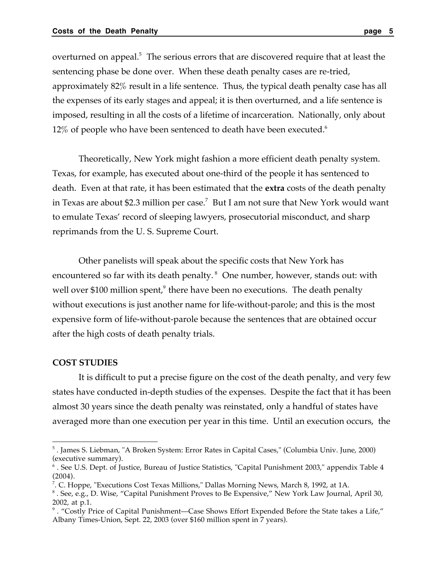overturned on appeal. $^5$  The serious errors that are discovered require that at least the sentencing phase be done over. When these death penalty cases are re-tried, approximately 82% result in a life sentence. Thus, the typical death penalty case has all the expenses of its early stages and appeal; it is then overturned, and a life sentence is imposed, resulting in all the costs of a lifetime of incarceration. Nationally, only about  $12\%$  of people who have been sentenced to death have been executed.<sup>6</sup>

Theoretically, New York might fashion a more efficient death penalty system. Texas, for example, has executed about one-third of the people it has sentenced to death. Even at that rate, it has been estimated that the **extra** costs of the death penalty in Texas are about \$2.3 million per case. $^7\,$  But I am not sure that New York would want to emulate Texas' record of sleeping lawyers, prosecutorial misconduct, and sharp reprimands from the U. S. Supreme Court.

Other panelists will speak about the specific costs that New York has encountered so far with its death penalty. $^8\,$  One number, however, stands out: with well over \$100 million spent, $9$  there have been no executions. The death penalty without executions is just another name for life-without-parole; and this is the most expensive form of life-without-parole because the sentences that are obtained occur after the high costs of death penalty trials.

#### **COST STUDIES**

 $\overline{a}$ 

It is difficult to put a precise figure on the cost of the death penalty, and very few states have conducted in-depth studies of the expenses. Despite the fact that it has been almost 30 years since the death penalty was reinstated, only a handful of states have averaged more than one execution per year in this time. Until an execution occurs, the

<sup>5</sup> . James S. Liebman, "A Broken System: Error Rates in Capital Cases," (Columbia Univ. June, 2000) (executive summary).

<sup>&</sup>lt;sup>6</sup>. See U.S. Dept. of Justice, Bureau of Justice Statistics, "Capital Punishment 2003," appendix Table 4 (2004).

<sup>7</sup> . C. Hoppe, "Executions Cost Texas Millions," Dallas Morning News, March 8, 1992, at 1A.

<sup>8</sup> . See, e.g., D. Wise, "Capital Punishment Proves to Be Expensive," New York Law Journal, April 30, 2002, at p.1.

<sup>&</sup>lt;sup>9</sup>. "Costly Price of Capital Punishment—Case Shows Effort Expended Before the State takes a Life," Albany Times-Union, Sept. 22, 2003 (over \$160 million spent in 7 years).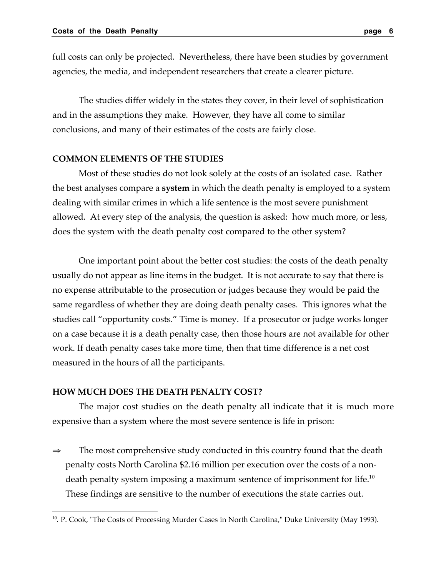full costs can only be projected. Nevertheless, there have been studies by government agencies, the media, and independent researchers that create a clearer picture.

The studies differ widely in the states they cover, in their level of sophistication and in the assumptions they make. However, they have all come to similar conclusions, and many of their estimates of the costs are fairly close.

### **COMMON ELEMENTS OF THE STUDIES**

Most of these studies do not look solely at the costs of an isolated case. Rather the best analyses compare a **system** in which the death penalty is employed to a system dealing with similar crimes in which a life sentence is the most severe punishment allowed. At every step of the analysis, the question is asked: how much more, or less, does the system with the death penalty cost compared to the other system?

One important point about the better cost studies: the costs of the death penalty usually do not appear as line items in the budget. It is not accurate to say that there is no expense attributable to the prosecution or judges because they would be paid the same regardless of whether they are doing death penalty cases. This ignores what the studies call "opportunity costs." Time is money. If a prosecutor or judge works longer on a case because it is a death penalty case, then those hours are not available for other work. If death penalty cases take more time, then that time difference is a net cost measured in the hours of all the participants.

#### **HOW MUCH DOES THE DEATH PENALTY COST?**

The major cost studies on the death penalty all indicate that it is much more expensive than a system where the most severe sentence is life in prison:

⇒ The most comprehensive study conducted in this country found that the death penalty costs North Carolina \$2.16 million per execution over the costs of a nondeath penalty system imposing a maximum sentence of imprisonment for life.<sup>10</sup> These findings are sensitive to the number of executions the state carries out.

 $\overline{a}$ <sup>10</sup>. P. Cook, "The Costs of Processing Murder Cases in North Carolina," Duke University (May 1993).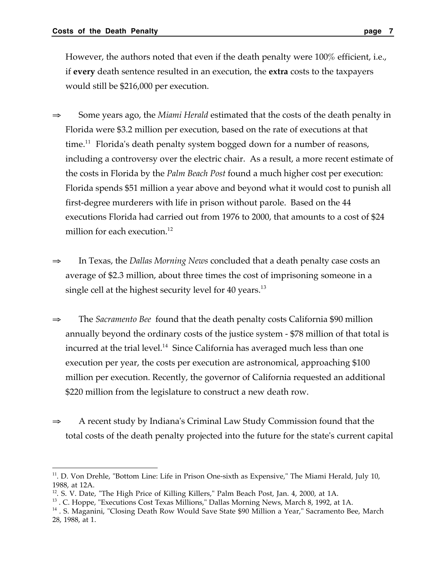However, the authors noted that even if the death penalty were 100% efficient, i.e., if **every** death sentence resulted in an execution, the **extra** costs to the taxpayers would still be \$216,000 per execution.

- ⇒ Some years ago, the *Miami Herald* estimated that the costs of the death penalty in Florida were \$3.2 million per execution, based on the rate of executions at that time.<sup>11</sup> Florida's death penalty system bogged down for a number of reasons, including a controversy over the electric chair. As a result, a more recent estimate of the costs in Florida by the *Palm Beach Post* found a much higher cost per execution: Florida spends \$51 million a year above and beyond what it would cost to punish all first-degree murderers with life in prison without parole. Based on the 44 executions Florida had carried out from 1976 to 2000, that amounts to a cost of \$24 million for each execution.<sup>12</sup>
- ⇒ In Texas, the *Dallas Morning News* concluded that a death penalty case costs an average of \$2.3 million, about three times the cost of imprisoning someone in a single cell at the highest security level for 40 years.<sup>13</sup>
- ⇒ The *Sacramento Bee* found that the death penalty costs California \$90 million annually beyond the ordinary costs of the justice system - \$78 million of that total is incurred at the trial level. $^{\rm 14}~$  Since California has averaged much less than one execution per year, the costs per execution are astronomical, approaching \$100 million per execution. Recently, the governor of California requested an additional \$220 million from the legislature to construct a new death row.
- ⇒ A recent study by Indiana's Criminal Law Study Commission found that the total costs of the death penalty projected into the future for the state's current capital

 $\overline{a}$ <sup>11</sup>. D. Von Drehle, "Bottom Line: Life in Prison One-sixth as Expensive," The Miami Herald, July 10, 1988, at 12A.

<sup>&</sup>lt;sup>12</sup>. S. V. Date, "The High Price of Killing Killers," Palm Beach Post, Jan. 4, 2000, at 1A.

 $13$ . C. Hoppe, "Executions Cost Texas Millions," Dallas Morning News, March 8, 1992, at 1A.

<sup>&</sup>lt;sup>14</sup> . S. Maganini, "Closing Death Row Would Save State \$90 Million a Year," Sacramento Bee, March 28, 1988, at 1.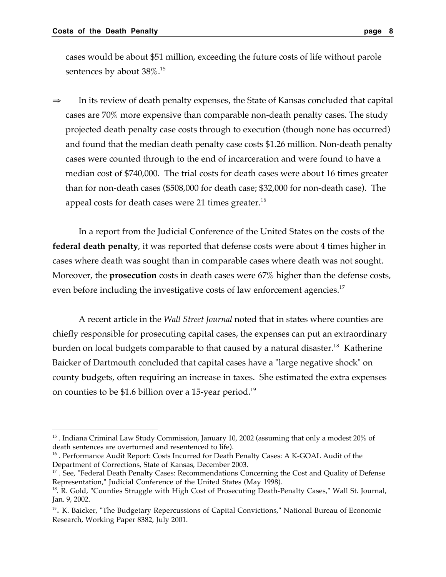cases would be about \$51 million, exceeding the future costs of life without parole sentences by about  $38\%$ <sup>15</sup>

⇒ In its review of death penalty expenses, the State of Kansas concluded that capital cases are 70% more expensive than comparable non-death penalty cases. The study projected death penalty case costs through to execution (though none has occurred) and found that the median death penalty case costs \$1.26 million. Non-death penalty cases were counted through to the end of incarceration and were found to have a median cost of \$740,000. The trial costs for death cases were about 16 times greater than for non-death cases (\$508,000 for death case; \$32,000 for non-death case). The appeal costs for death cases were 21 times greater.<sup>16</sup>

In a report from the Judicial Conference of the United States on the costs of the **federal death penalty**, it was reported that defense costs were about 4 times higher in cases where death was sought than in comparable cases where death was not sought. Moreover, the **prosecution** costs in death cases were 67% higher than the defense costs, even before including the investigative costs of law enforcement agencies.<sup>17</sup>

A recent article in the *Wall Street Journal* noted that in states where counties are chiefly responsible for prosecuting capital cases, the expenses can put an extraordinary burden on local budgets comparable to that caused by a natural disaster.<sup>18</sup> Katherine Baicker of Dartmouth concluded that capital cases have a "large negative shock" on county budgets, often requiring an increase in taxes. She estimated the extra expenses on counties to be \$1.6 billion over a 15-year period.<sup>19</sup>

 $\overline{a}$ <sup>15</sup>. Indiana Criminal Law Study Commission, January 10, 2002 (assuming that only a modest 20% of death sentences are overturned and resentenced to life).

<sup>&</sup>lt;sup>16</sup>. Performance Audit Report: Costs Incurred for Death Penalty Cases: A K-GOAL Audit of the Department of Corrections, State of Kansas, December 2003.

<sup>&</sup>lt;sup>17</sup>. See, "Federal Death Penalty Cases: Recommendations Concerning the Cost and Quality of Defense Representation," Judicial Conference of the United States (May 1998).

<sup>&</sup>lt;sup>18</sup>. R. Gold, "Counties Struggle with High Cost of Prosecuting Death-Penalty Cases," Wall St. Journal, Jan. 9, 2002.

<sup>&</sup>lt;sup>19</sup>. K. Baicker, "The Budgetary Repercussions of Capital Convictions," National Bureau of Economic Research, Working Paper 8382, July 2001.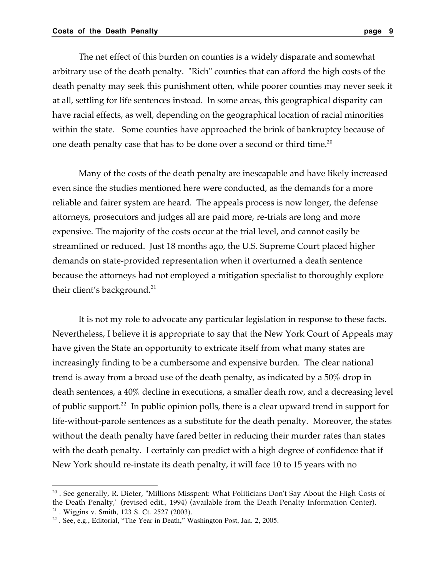The net effect of this burden on counties is a widely disparate and somewhat arbitrary use of the death penalty. "Rich" counties that can afford the high costs of the death penalty may seek this punishment often, while poorer counties may never seek it at all, settling for life sentences instead. In some areas, this geographical disparity can have racial effects, as well, depending on the geographical location of racial minorities within the state. Some counties have approached the brink of bankruptcy because of one death penalty case that has to be done over a second or third time.<sup>20</sup>

Many of the costs of the death penalty are inescapable and have likely increased even since the studies mentioned here were conducted, as the demands for a more reliable and fairer system are heard. The appeals process is now longer, the defense attorneys, prosecutors and judges all are paid more, re-trials are long and more expensive. The majority of the costs occur at the trial level, and cannot easily be streamlined or reduced. Just 18 months ago, the U.S. Supreme Court placed higher demands on state-provided representation when it overturned a death sentence because the attorneys had not employed a mitigation specialist to thoroughly explore their client's background.<sup>21</sup>

It is not my role to advocate any particular legislation in response to these facts. Nevertheless, I believe it is appropriate to say that the New York Court of Appeals may have given the State an opportunity to extricate itself from what many states are increasingly finding to be a cumbersome and expensive burden. The clear national trend is away from a broad use of the death penalty, as indicated by a 50% drop in death sentences, a 40% decline in executions, a smaller death row, and a decreasing level of public support.<sup>22</sup> In public opinion polls, there is a clear upward trend in support for life-without-parole sentences as a substitute for the death penalty. Moreover, the states without the death penalty have fared better in reducing their murder rates than states with the death penalty. I certainly can predict with a high degree of confidence that if New York should re-instate its death penalty, it will face 10 to 15 years with no

 $\overline{a}$ 

 $20$ . See generally, R. Dieter, "Millions Misspent: What Politicians Don't Say About the High Costs of the Death Penalty," (revised edit., 1994) (available from the Death Penalty Information Center).

 $21$ . Wiggins v. Smith, 123 S. Ct. 2527 (2003).

<sup>&</sup>lt;sup>22</sup>. See, e.g., Editorial, "The Year in Death," Washington Post, Jan. 2, 2005.